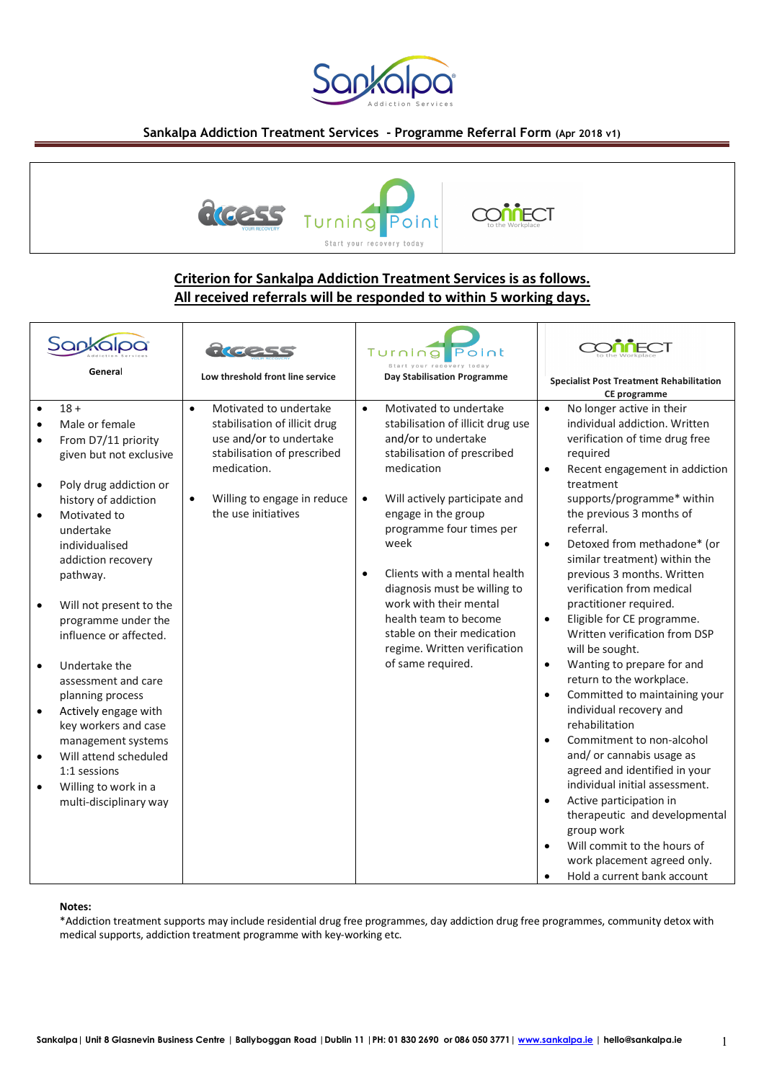

## **Sankalpa Addiction Treatment Services - Programme Referral Form (Apr 2018 v1)**



# **Criterion for Sankalpa Addiction Treatment Services is as follows. All received referrals will be responded to within 5 working days.**

| General                                                                                                                                                                                                                                                                                                                                                                                                                                                                                                                                                                                                                                  | Low threshold front line service                                                                                                                                                       | Turning<br><b>Point</b><br>Day Stabilisation Programme                                                                                                                                                                                                                                                                                                                                                                                                                   | <b>Specialist Post Treatment Rehabilitation</b><br>CE programme                                                                                                                                                                                                                                                                                                                                                                                                                                                                                                                                                                                                                                                                                                                                                                                                                                                                                                                                                                       |
|------------------------------------------------------------------------------------------------------------------------------------------------------------------------------------------------------------------------------------------------------------------------------------------------------------------------------------------------------------------------------------------------------------------------------------------------------------------------------------------------------------------------------------------------------------------------------------------------------------------------------------------|----------------------------------------------------------------------------------------------------------------------------------------------------------------------------------------|--------------------------------------------------------------------------------------------------------------------------------------------------------------------------------------------------------------------------------------------------------------------------------------------------------------------------------------------------------------------------------------------------------------------------------------------------------------------------|---------------------------------------------------------------------------------------------------------------------------------------------------------------------------------------------------------------------------------------------------------------------------------------------------------------------------------------------------------------------------------------------------------------------------------------------------------------------------------------------------------------------------------------------------------------------------------------------------------------------------------------------------------------------------------------------------------------------------------------------------------------------------------------------------------------------------------------------------------------------------------------------------------------------------------------------------------------------------------------------------------------------------------------|
| $18 +$<br>$\bullet$<br>$\bullet$<br>Male or female<br>$\bullet$<br>From D7/11 priority<br>$\bullet$<br>given but not exclusive<br>Poly drug addiction or<br>٠<br>history of addiction<br>$\bullet$<br>Motivated to<br>undertake<br>individualised<br>addiction recovery<br>pathway.<br>Will not present to the<br>programme under the<br>influence or affected.<br>Undertake the<br>$\bullet$<br>assessment and care<br>planning process<br>Actively engage with<br>$\bullet$<br>key workers and case<br>management systems<br>Will attend scheduled<br>$\bullet$<br>1:1 sessions<br>Willing to work in a<br>٠<br>multi-disciplinary way | Motivated to undertake<br>stabilisation of illicit drug<br>use and/or to undertake<br>stabilisation of prescribed<br>medication.<br>Willing to engage in reduce<br>the use initiatives | Motivated to undertake<br>$\bullet$<br>stabilisation of illicit drug use<br>and/or to undertake<br>stabilisation of prescribed<br>medication<br>Will actively participate and<br>$\bullet$<br>engage in the group<br>programme four times per<br>week<br>Clients with a mental health<br>$\bullet$<br>diagnosis must be willing to<br>work with their mental<br>health team to become<br>stable on their medication<br>regime. Written verification<br>of same required. | $\bullet$<br>No longer active in their<br>individual addiction. Written<br>verification of time drug free<br>required<br>Recent engagement in addiction<br>$\bullet$<br>treatment<br>supports/programme* within<br>the previous 3 months of<br>referral.<br>Detoxed from methadone* (or<br>$\bullet$<br>similar treatment) within the<br>previous 3 months. Written<br>verification from medical<br>practitioner required.<br>Eligible for CE programme.<br>$\bullet$<br>Written verification from DSP<br>will be sought.<br>Wanting to prepare for and<br>$\bullet$<br>return to the workplace.<br>Committed to maintaining your<br>$\bullet$<br>individual recovery and<br>rehabilitation<br>Commitment to non-alcohol<br>$\bullet$<br>and/or cannabis usage as<br>agreed and identified in your<br>individual initial assessment.<br>Active participation in<br>$\bullet$<br>therapeutic and developmental<br>group work<br>Will commit to the hours of<br>work placement agreed only.<br>Hold a current bank account<br>$\bullet$ |

#### **Notes:**

\*Addiction treatment supports may include residential drug free programmes, day addiction drug free programmes, community detox with medical supports, addiction treatment programme with key-working etc.